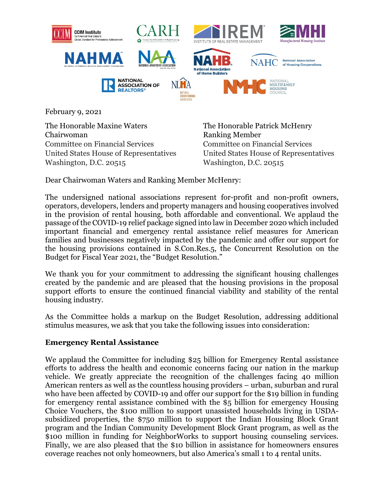

February 9, 2021

The Honorable Maxine Waters The Honorable Patrick McHenry Chairwoman Ranking Member Committee on Financial Services Committee on Financial Services United States House of Representatives United States House of Representatives Washington, D.C. 20515 Washington, D.C. 20515

Dear Chairwoman Waters and Ranking Member McHenry:

The undersigned national associations represent for-profit and non-profit owners, operators, developers, lenders and property managers and housing cooperatives involved in the provision of rental housing, both affordable and conventional. We applaud the passage of the COVID-19 relief package signed into law in December 2020 which included important financial and emergency rental assistance relief measures for American families and businesses negatively impacted by the pandemic and offer our support for the housing provisions contained in S.Con.Res.5, the Concurrent Resolution on the Budget for Fiscal Year 2021, the "Budget Resolution."

We thank you for your commitment to addressing the significant housing challenges created by the pandemic and are pleased that the housing provisions in the proposal support efforts to ensure the continued financial viability and stability of the rental housing industry.

As the Committee holds a markup on the Budget Resolution, addressing additional stimulus measures, we ask that you take the following issues into consideration:

## **Emergency Rental Assistance**

We applaud the Committee for including \$25 billion for Emergency Rental assistance efforts to address the health and economic concerns facing our nation in the markup vehicle. We greatly appreciate the recognition of the challenges facing 40 million American renters as well as the countless housing providers – urban, suburban and rural who have been affected by COVID-19 and offer our support for the \$19 billion in funding for emergency rental assistance combined with the \$5 billion for emergency Housing Choice Vouchers, the \$100 million to support unassisted households living in USDAsubsidized properties, the \$750 million to support the Indian Housing Block Grant program and the Indian Community Development Block Grant program, as well as the \$100 million in funding for NeighborWorks to support housing counseling services. Finally, we are also pleased that the \$10 billion in assistance for homeowners ensures coverage reaches not only homeowners, but also America's small 1 to 4 rental units.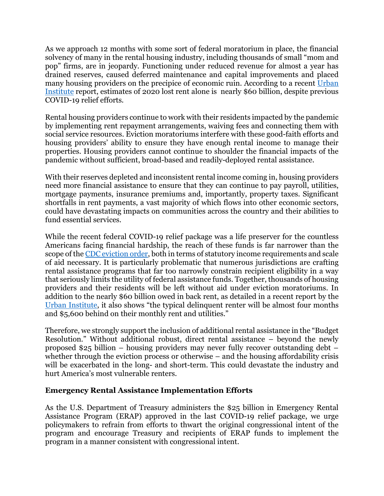As we approach 12 months with some sort of federal moratorium in place, the financial solvency of many in the rental housing industry, including thousands of small "mom and pop" firms, are in jeopardy. Functioning under reduced revenue for almost a year has drained reserves, caused deferred maintenance and capital improvements and placed many housing providers on the precipice of economic ruin. According to a recent [Urban](https://www.urban.org/sites/default/files/publication/103532/averting-an-eviction-crisis.pdf)  [Institute](https://www.urban.org/sites/default/files/publication/103532/averting-an-eviction-crisis.pdf) report, estimates of 2020 lost rent alone is nearly \$60 billion, despite previous COVID-19 relief efforts.

Rental housing providers continue to work with their residents impacted by the pandemic by implementing rent repayment arrangements, waiving fees and connecting them with social service resources. Eviction moratoriums interfere with these good-faith efforts and housing providers' ability to ensure they have enough rental income to manage their properties. Housing providers cannot continue to shoulder the financial impacts of the pandemic without sufficient, broad-based and readily-deployed rental assistance.

With their reserves depleted and inconsistent rental income coming in, housing providers need more financial assistance to ensure that they can continue to pay payroll, utilities, mortgage payments, insurance premiums and, importantly, property taxes. Significant shortfalls in rent payments, a vast majority of which flows into other economic sectors, could have devastating impacts on communities across the country and their abilities to fund essential services.

While the recent federal COVID-19 relief package was a life preserver for the countless Americans facing financial hardship, the reach of these funds is far narrower than the scope of the [CDC eviction order,](https://www.federalregister.gov/documents/2020/09/04/2020-19654/temporary-halt-in-residential-evictions-to-prevent-the-further-spread-of-covid-19) both in terms of statutory income requirements and scale of aid necessary. It is particularly problematic that numerous jurisdictions are crafting rental assistance programs that far too narrowly constrain recipient eligibility in a way that seriously limits the utility of federal assistance funds. Together, thousands of housing providers and their residents will be left without aid under eviction moratoriums. In addition to the nearly \$60 billion owed in back rent, as detailed in a recent report by the [Urban Institute,](https://www.urban.org/sites/default/files/publication/103532/averting-an-eviction-crisis.pdf) it also shows "the typical delinquent renter will be almost four months and \$5,600 behind on their monthly rent and utilities."

Therefore, we strongly support the inclusion of additional rental assistance in the "Budget Resolution." Without additional robust, direct rental assistance – beyond the newly proposed \$25 billion – housing providers may never fully recover outstanding debt – whether through the eviction process or otherwise – and the housing affordability crisis will be exacerbated in the long- and short-term. This could devastate the industry and hurt America's most vulnerable renters.

## **Emergency Rental Assistance Implementation Efforts**

As the U.S. Department of Treasury administers the \$25 billion in Emergency Rental Assistance Program (ERAP) approved in the last COVID-19 relief package, we urge policymakers to refrain from efforts to thwart the original congressional intent of the program and encourage Treasury and recipients of ERAP funds to implement the program in a manner consistent with congressional intent.